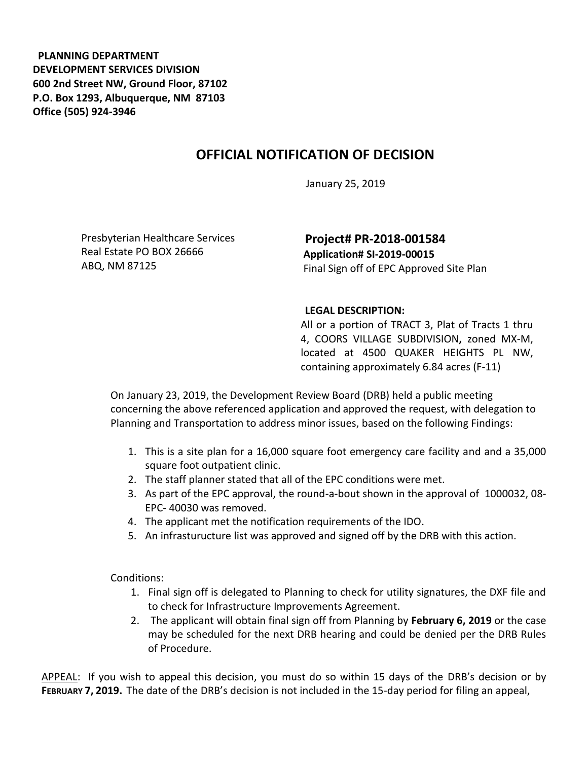**PLANNING DEPARTMENT DEVELOPMENT SERVICES DIVISION 600 2nd Street NW, Ground Floor, 87102 P.O. Box 1293, Albuquerque, NM 87103 Office (505) 924-3946** 

## **OFFICIAL NOTIFICATION OF DECISION**

January 25, 2019

Presbyterian Healthcare Services Real Estate PO BOX 26666 ABQ, NM 87125

**Project# PR-2018-001584 Application# SI-2019-00015**  Final Sign off of EPC Approved Site Plan

## **LEGAL DESCRIPTION:**

All or a portion of TRACT 3, Plat of Tracts 1 thru 4, COORS VILLAGE SUBDIVISION**,** zoned MX-M, located at 4500 QUAKER HEIGHTS PL NW, containing approximately 6.84 acres (F-11)

On January 23, 2019, the Development Review Board (DRB) held a public meeting concerning the above referenced application and approved the request, with delegation to Planning and Transportation to address minor issues, based on the following Findings:

- 1. This is a site plan for a 16,000 square foot emergency care facility and and a 35,000 square foot outpatient clinic.
- 2. The staff planner stated that all of the EPC conditions were met.
- 3. As part of the EPC approval, the round-a-bout shown in the approval of 1000032, 08- EPC- 40030 was removed.
- 4. The applicant met the notification requirements of the IDO.
- 5. An infrasturucture list was approved and signed off by the DRB with this action.

Conditions:

- 1. Final sign off is delegated to Planning to check for utility signatures, the DXF file and to check for Infrastructure Improvements Agreement.
- 2. The applicant will obtain final sign off from Planning by **February 6, 2019** or the case may be scheduled for the next DRB hearing and could be denied per the DRB Rules of Procedure.

APPEAL: If you wish to appeal this decision, you must do so within 15 days of the DRB's decision or by **FEBRUARY 7, 2019.** The date of the DRB's decision is not included in the 15-day period for filing an appeal,